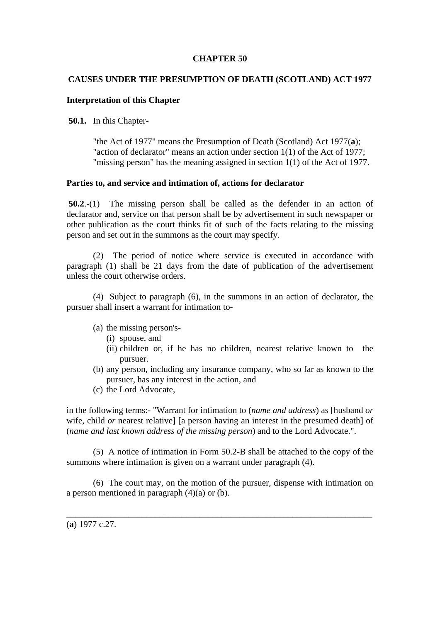## **CHAPTER 50**

# **CAUSES UNDER THE PRESUMPTION OF DEATH (SCOTLAND) ACT 1977**

## **Interpretation of this Chapter**

**50.1.** In this Chapter-

"the Act of 1977" means the Presumption of Death (Scotland) Act 1977(**a**); "action of declarator" means an action under section 1(1) of the Act of 1977; "missing person" has the meaning assigned in section 1(1) of the Act of 1977.

### **Parties to, and service and intimation of, actions for declarator**

**50.2**.-(1) The missing person shall be called as the defender in an action of declarator and, service on that person shall be by advertisement in such newspaper or other publication as the court thinks fit of such of the facts relating to the missing person and set out in the summons as the court may specify.

 (2) The period of notice where service is executed in accordance with paragraph (1) shall be 21 days from the date of publication of the advertisement unless the court otherwise orders.

 (4) Subject to paragraph (6), in the summons in an action of declarator, the pursuer shall insert a warrant for intimation to-

- (a) the missing person's-
	- (i) spouse, and
	- (ii) children or, if he has no children, nearest relative known to the pursuer.
- (b) any person, including any insurance company, who so far as known to the pursuer, has any interest in the action, and
- (c) the Lord Advocate,

in the following terms:- "Warrant for intimation to (*name and address*) as [husband *or* wife, child *or* nearest relative] [a person having an interest in the presumed death] of (*name and last known address of the missing person*) and to the Lord Advocate.".

 (5) A notice of intimation in Form 50.2-B shall be attached to the copy of the summons where intimation is given on a warrant under paragraph (4).

 (6) The court may, on the motion of the pursuer, dispense with intimation on a person mentioned in paragraph  $(4)(a)$  or  $(b)$ .

\_\_\_\_\_\_\_\_\_\_\_\_\_\_\_\_\_\_\_\_\_\_\_\_\_\_\_\_\_\_\_\_\_\_\_\_\_\_\_\_\_\_\_\_\_\_\_\_\_\_\_\_\_\_\_\_\_\_\_\_\_\_\_\_\_\_\_\_\_

(**a**) 1977 c.27.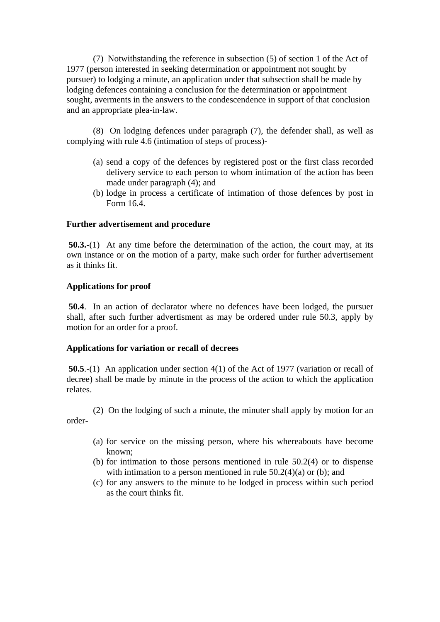(7) Notwithstanding the reference in subsection (5) of section 1 of the Act of 1977 (person interested in seeking determination or appointment not sought by pursuer) to lodging a minute, an application under that subsection shall be made by lodging defences containing a conclusion for the determination or appointment sought, averments in the answers to the condescendence in support of that conclusion and an appropriate plea-in-law.

 (8) On lodging defences under paragraph (7), the defender shall, as well as complying with rule 4.6 (intimation of steps of process)-

- (a) send a copy of the defences by registered post or the first class recorded delivery service to each person to whom intimation of the action has been made under paragraph (4); and
- (b) lodge in process a certificate of intimation of those defences by post in Form 16.4.

## **Further advertisement and procedure**

**50.3.-**(1) At any time before the determination of the action, the court may, at its own instance or on the motion of a party, make such order for further advertisement as it thinks fit.

### **Applications for proof**

 **50.4**. In an action of declarator where no defences have been lodged, the pursuer shall, after such further advertisment as may be ordered under rule 50.3, apply by motion for an order for a proof.

## **Applications for variation or recall of decrees**

 **50.5**.-(1) An application under section 4(1) of the Act of 1977 (variation or recall of decree) shall be made by minute in the process of the action to which the application relates.

 (2) On the lodging of such a minute, the minuter shall apply by motion for an order-

- (a) for service on the missing person, where his whereabouts have become known;
- (b) for intimation to those persons mentioned in rule 50.2(4) or to dispense with intimation to a person mentioned in rule  $50.2(4)(a)$  or (b); and
- (c) for any answers to the minute to be lodged in process within such period as the court thinks fit.